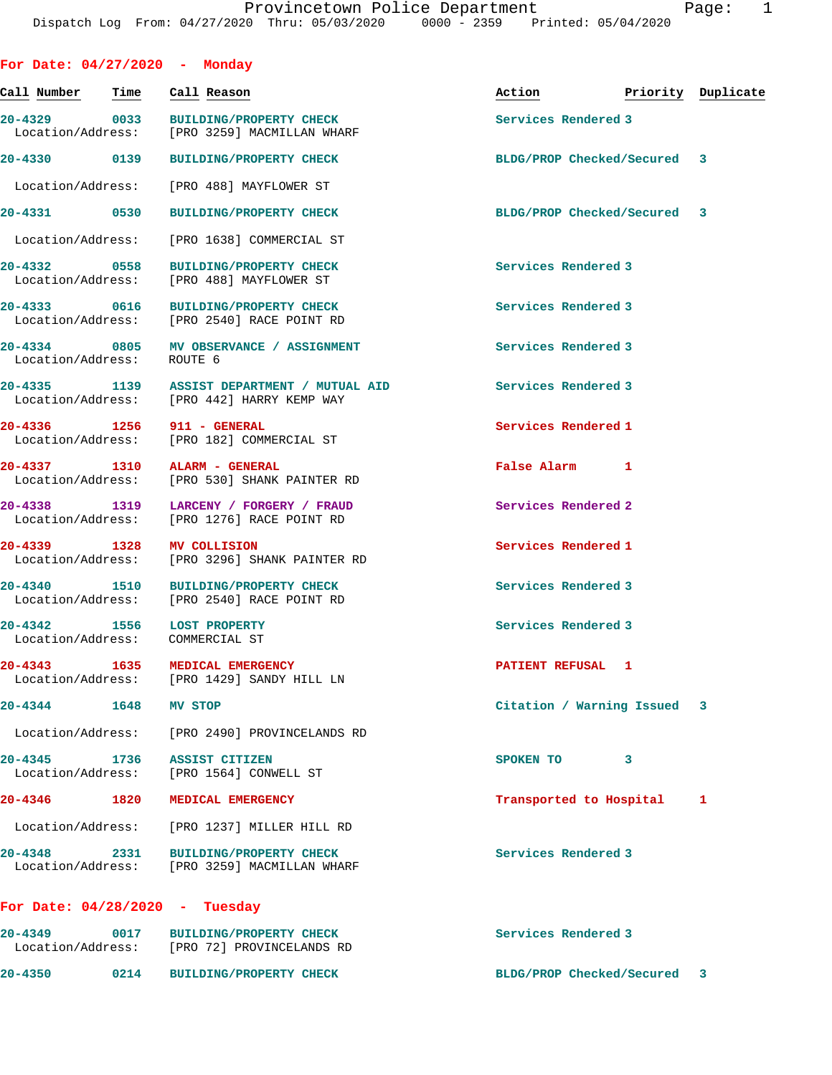| For Date: $04/27/2020$ - Monday                               |      |                                                                                           |                     |                             |                    |
|---------------------------------------------------------------|------|-------------------------------------------------------------------------------------------|---------------------|-----------------------------|--------------------|
| Call Number                                                   | Time | Call Reason                                                                               | Action              |                             | Priority Duplicate |
|                                                               |      | 20-4329 0033 BUILDING/PROPERTY CHECK<br>Location/Address: [PRO 3259] MACMILLAN WHARF      | Services Rendered 3 |                             |                    |
| 20-4330 0139                                                  |      | <b>BUILDING/PROPERTY CHECK</b>                                                            |                     | BLDG/PROP Checked/Secured 3 |                    |
|                                                               |      | Location/Address: [PRO 488] MAYFLOWER ST                                                  |                     |                             |                    |
|                                                               |      | 20-4331 0530 BUILDING/PROPERTY CHECK                                                      |                     | BLDG/PROP Checked/Secured 3 |                    |
|                                                               |      | Location/Address: [PRO 1638] COMMERCIAL ST                                                |                     |                             |                    |
| 20-4332 0558                                                  |      | <b>BUILDING/PROPERTY CHECK</b><br>Location/Address: [PRO 488] MAYFLOWER ST                | Services Rendered 3 |                             |                    |
|                                                               |      | 20-4333 0616 BUILDING/PROPERTY CHECK<br>Location/Address: [PRO 2540] RACE POINT RD        | Services Rendered 3 |                             |                    |
| Location/Address: ROUTE 6                                     |      | 20-4334 0805 MV OBSERVANCE / ASSIGNMENT                                                   | Services Rendered 3 |                             |                    |
|                                                               |      | 20-4335 1139 ASSIST DEPARTMENT / MUTUAL AID<br>Location/Address: [PRO 442] HARRY KEMP WAY | Services Rendered 3 |                             |                    |
| 20-4336 1256 911 - GENERAL                                    |      | Location/Address: [PRO 182] COMMERCIAL ST                                                 | Services Rendered 1 |                             |                    |
| 20-4337 1310 ALARM - GENERAL                                  |      | Location/Address: [PRO 530] SHANK PAINTER RD                                              | False Alarm 1       |                             |                    |
|                                                               |      | 20-4338 1319 LARCENY / FORGERY / FRAUD<br>Location/Address: [PRO 1276] RACE POINT RD      | Services Rendered 2 |                             |                    |
| 20-4339 1328                                                  |      | <b>MV COLLISION</b><br>Location/Address: [PRO 3296] SHANK PAINTER RD                      | Services Rendered 1 |                             |                    |
|                                                               |      | 20-4340 1510 BUILDING/PROPERTY CHECK<br>Location/Address: [PRO 2540] RACE POINT RD        | Services Rendered 3 |                             |                    |
| 20-4342 1556 LOST PROPERTY<br>Location/Address: COMMERCIAL ST |      |                                                                                           | Services Rendered 3 |                             |                    |
| 20-4343 1635 MEDICAL EMERGENCY                                |      | Location/Address: [PRO 1429] SANDY HILL LN                                                | PATIENT REFUSAL 1   |                             |                    |
| 20-4344 1648 MV STOP                                          |      |                                                                                           |                     | Citation / Warning Issued 3 |                    |
|                                                               |      | Location/Address: [PRO 2490] PROVINCELANDS RD                                             |                     |                             |                    |
| 20-4345 1736 ASSIST CITIZEN                                   |      | Location/Address: [PRO 1564] CONWELL ST                                                   | SPOKEN TO           | 3                           |                    |
| 20-4346                                                       |      | 1820 MEDICAL EMERGENCY                                                                    |                     | Transported to Hospital     | 1                  |
|                                                               |      | Location/Address: [PRO 1237] MILLER HILL RD                                               |                     |                             |                    |
|                                                               |      | 20-4348 2331 BUILDING/PROPERTY CHECK<br>Location/Address: [PRO 3259] MACMILLAN WHARF      | Services Rendered 3 |                             |                    |
| For Date: $04/28/2020 - Tuesday$                              |      |                                                                                           |                     |                             |                    |
|                                                               |      | 20-4349 0017 BUILDING/PROPERTY CHECK<br>Location/Address: [PRO 72] PROVINCELANDS RD       | Services Rendered 3 |                             |                    |
| 20-4350                                                       | 0214 | <b>BUILDING/PROPERTY CHECK</b>                                                            |                     | BLDG/PROP Checked/Secured 3 |                    |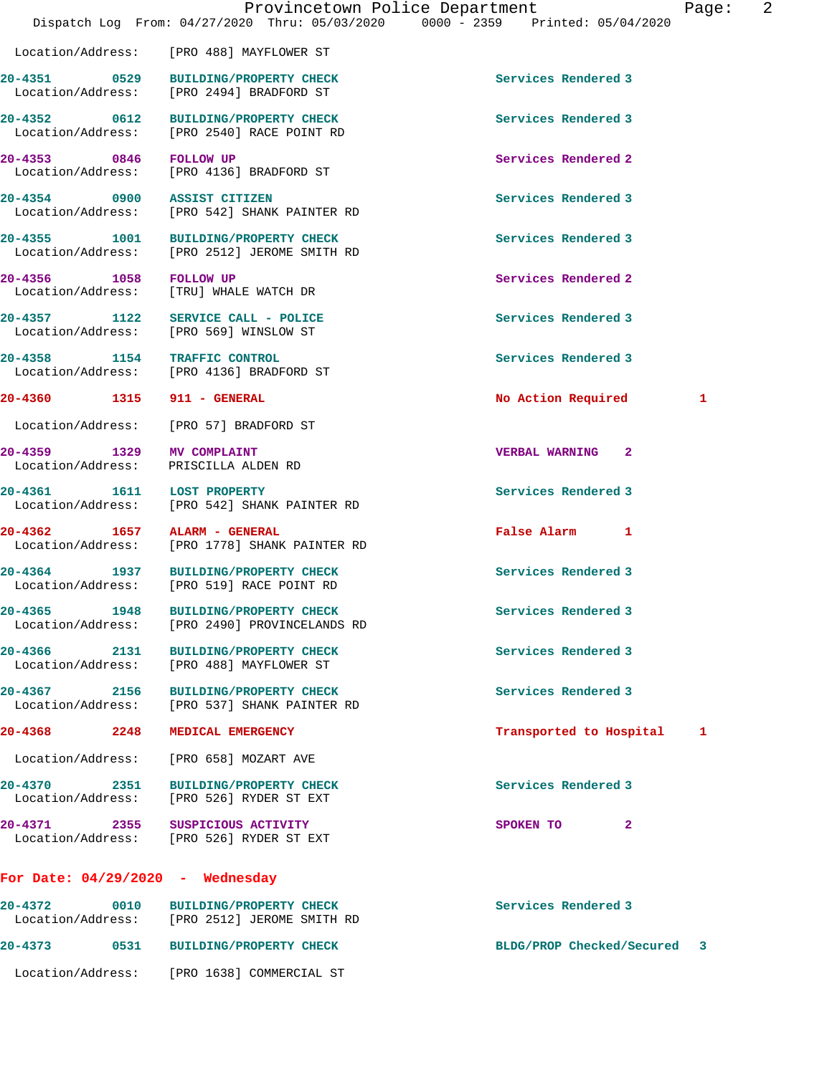Location/Address: [PRO 488] MAYFLOWER ST

| 20-4352 0612 BUILDING/PROPERTY CHECK<br>Location/Address: [PRO 2540] RACE POINT RD<br>20-4353 0846 FOLLOW UP<br>Location/Address: [PRO 4136] BRADFORD ST<br>20-4354 0900 ASSIST CITIZEN<br>Location/Address: [PRO 542] SHANK PAINTER RD<br>20-4355 1001 BUILDING/PROPERTY CHECK<br>Location/Address: [PRO 2512] JEROME SMITH RD | Services Rendered 3<br>Services Rendered 2<br>Services Rendered 3<br>Services Rendered 3                                                                                                                                                                                                                                                                                                                                                                                                                                                                                                                                                                                                                                                                                                                                                                                                                                                                                                                                                                                                                             |
|---------------------------------------------------------------------------------------------------------------------------------------------------------------------------------------------------------------------------------------------------------------------------------------------------------------------------------|----------------------------------------------------------------------------------------------------------------------------------------------------------------------------------------------------------------------------------------------------------------------------------------------------------------------------------------------------------------------------------------------------------------------------------------------------------------------------------------------------------------------------------------------------------------------------------------------------------------------------------------------------------------------------------------------------------------------------------------------------------------------------------------------------------------------------------------------------------------------------------------------------------------------------------------------------------------------------------------------------------------------------------------------------------------------------------------------------------------------|
|                                                                                                                                                                                                                                                                                                                                 |                                                                                                                                                                                                                                                                                                                                                                                                                                                                                                                                                                                                                                                                                                                                                                                                                                                                                                                                                                                                                                                                                                                      |
|                                                                                                                                                                                                                                                                                                                                 |                                                                                                                                                                                                                                                                                                                                                                                                                                                                                                                                                                                                                                                                                                                                                                                                                                                                                                                                                                                                                                                                                                                      |
|                                                                                                                                                                                                                                                                                                                                 |                                                                                                                                                                                                                                                                                                                                                                                                                                                                                                                                                                                                                                                                                                                                                                                                                                                                                                                                                                                                                                                                                                                      |
|                                                                                                                                                                                                                                                                                                                                 |                                                                                                                                                                                                                                                                                                                                                                                                                                                                                                                                                                                                                                                                                                                                                                                                                                                                                                                                                                                                                                                                                                                      |
| 20-4356 1058 FOLLOW UP<br>Location/Address: [TRU] WHALE WATCH DR                                                                                                                                                                                                                                                                | Services Rendered 2                                                                                                                                                                                                                                                                                                                                                                                                                                                                                                                                                                                                                                                                                                                                                                                                                                                                                                                                                                                                                                                                                                  |
|                                                                                                                                                                                                                                                                                                                                 | Services Rendered 3                                                                                                                                                                                                                                                                                                                                                                                                                                                                                                                                                                                                                                                                                                                                                                                                                                                                                                                                                                                                                                                                                                  |
|                                                                                                                                                                                                                                                                                                                                 | Services Rendered 3                                                                                                                                                                                                                                                                                                                                                                                                                                                                                                                                                                                                                                                                                                                                                                                                                                                                                                                                                                                                                                                                                                  |
|                                                                                                                                                                                                                                                                                                                                 | No Action Required<br>1                                                                                                                                                                                                                                                                                                                                                                                                                                                                                                                                                                                                                                                                                                                                                                                                                                                                                                                                                                                                                                                                                              |
|                                                                                                                                                                                                                                                                                                                                 |                                                                                                                                                                                                                                                                                                                                                                                                                                                                                                                                                                                                                                                                                                                                                                                                                                                                                                                                                                                                                                                                                                                      |
|                                                                                                                                                                                                                                                                                                                                 | <b>VERBAL WARNING 2</b>                                                                                                                                                                                                                                                                                                                                                                                                                                                                                                                                                                                                                                                                                                                                                                                                                                                                                                                                                                                                                                                                                              |
|                                                                                                                                                                                                                                                                                                                                 | Services Rendered 3                                                                                                                                                                                                                                                                                                                                                                                                                                                                                                                                                                                                                                                                                                                                                                                                                                                                                                                                                                                                                                                                                                  |
|                                                                                                                                                                                                                                                                                                                                 | False Alarm 1                                                                                                                                                                                                                                                                                                                                                                                                                                                                                                                                                                                                                                                                                                                                                                                                                                                                                                                                                                                                                                                                                                        |
|                                                                                                                                                                                                                                                                                                                                 | Services Rendered 3                                                                                                                                                                                                                                                                                                                                                                                                                                                                                                                                                                                                                                                                                                                                                                                                                                                                                                                                                                                                                                                                                                  |
|                                                                                                                                                                                                                                                                                                                                 | Services Rendered 3                                                                                                                                                                                                                                                                                                                                                                                                                                                                                                                                                                                                                                                                                                                                                                                                                                                                                                                                                                                                                                                                                                  |
|                                                                                                                                                                                                                                                                                                                                 | Services Rendered 3                                                                                                                                                                                                                                                                                                                                                                                                                                                                                                                                                                                                                                                                                                                                                                                                                                                                                                                                                                                                                                                                                                  |
|                                                                                                                                                                                                                                                                                                                                 | Services Rendered 3                                                                                                                                                                                                                                                                                                                                                                                                                                                                                                                                                                                                                                                                                                                                                                                                                                                                                                                                                                                                                                                                                                  |
|                                                                                                                                                                                                                                                                                                                                 | Transported to Hospital<br>1                                                                                                                                                                                                                                                                                                                                                                                                                                                                                                                                                                                                                                                                                                                                                                                                                                                                                                                                                                                                                                                                                         |
|                                                                                                                                                                                                                                                                                                                                 |                                                                                                                                                                                                                                                                                                                                                                                                                                                                                                                                                                                                                                                                                                                                                                                                                                                                                                                                                                                                                                                                                                                      |
|                                                                                                                                                                                                                                                                                                                                 | Services Rendered 3                                                                                                                                                                                                                                                                                                                                                                                                                                                                                                                                                                                                                                                                                                                                                                                                                                                                                                                                                                                                                                                                                                  |
|                                                                                                                                                                                                                                                                                                                                 | SPOKEN TO<br>2                                                                                                                                                                                                                                                                                                                                                                                                                                                                                                                                                                                                                                                                                                                                                                                                                                                                                                                                                                                                                                                                                                       |
|                                                                                                                                                                                                                                                                                                                                 | 20-4357 1122 SERVICE CALL - POLICE<br>Location/Address: [PRO 569] WINSLOW ST<br>20-4358 1154 TRAFFIC CONTROL<br>Location/Address: [PRO 4136] BRADFORD ST<br>20-4360 1315 911 - GENERAL<br>Location/Address: [PRO 57] BRADFORD ST<br>20-4359 1329 MV COMPLAINT<br>Location/Address: PRISCILLA ALDEN RD<br>20-4361 1611 LOST PROPERTY<br>Location/Address: [PRO 542] SHANK PAINTER RD<br>20-4362 1657 ALARM - GENERAL<br>Location/Address: [PRO 1778] SHANK PAINTER RD<br>20-4364 1937 BUILDING/PROPERTY CHECK<br>Location/Address: [PRO 519] RACE POINT RD<br>20-4365 1948 BUILDING/PROPERTY CHECK<br>Location/Address: [PRO 2490] PROVINCELANDS RD<br>20-4366 2131 BUILDING/PROPERTY CHECK<br>Location/Address: [PRO 488] MAYFLOWER ST<br>20-4367 2156 BUILDING/PROPERTY CHECK<br>Location/Address: [PRO 537] SHANK PAINTER RD<br>20-4368 2248 MEDICAL EMERGENCY<br>Location/Address: [PRO 658] MOZART AVE<br>20-4370 2351 BUILDING/PROPERTY CHECK<br>Location/Address: [PRO 526] RYDER ST EXT<br>20-4371 2355 SUSPICIOUS ACTIVITY<br>Location/Address: [PRO 526] RYDER ST EXT<br>For Date: $04/29/2020$ - Wednesday |

| 20-4372<br>Location/Address: | 0010 | <b>BUILDING/PROPERTY CHECK</b><br>FRO 25121 JEROME SMITH RD | Services Rendered 3              |
|------------------------------|------|-------------------------------------------------------------|----------------------------------|
| $20 - 4373$                  | 0531 | <b>BUILDING/PROPERTY CHECK</b>                              | - 3<br>BLDG/PROP Checked/Secured |
| Location/Address:            |      | [PRO 1638] COMMERCIAL ST                                    |                                  |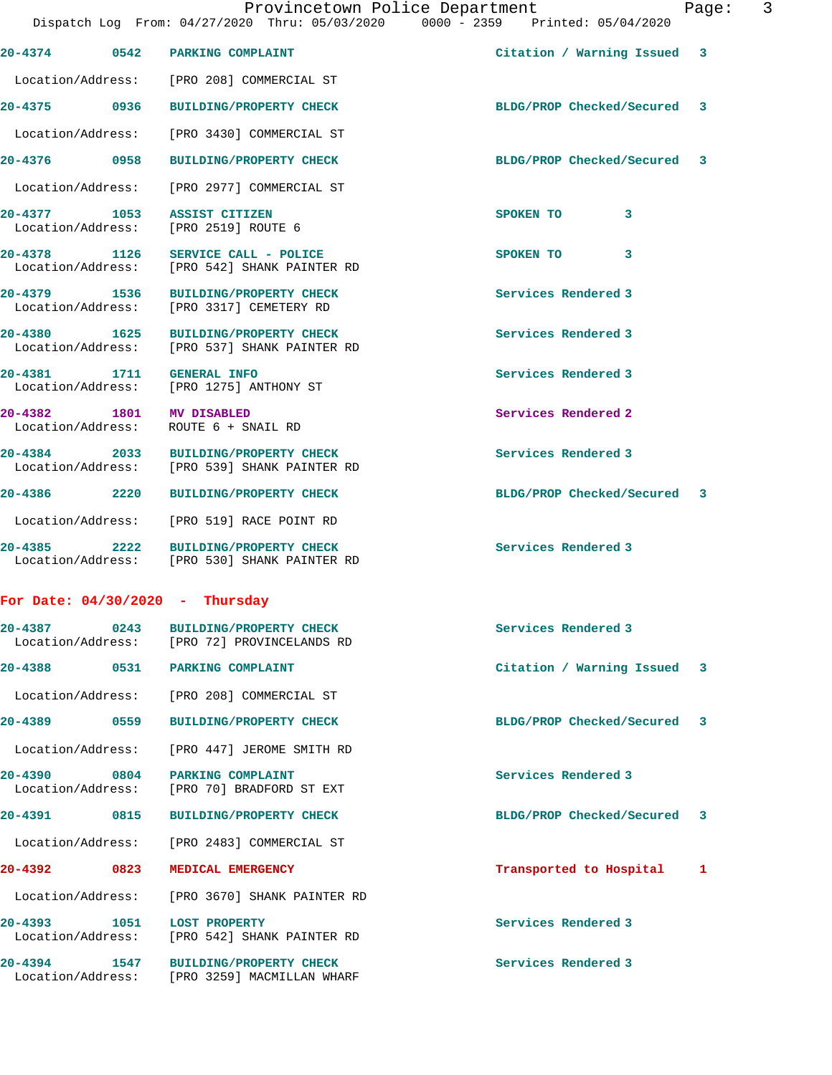**20-4374 0542 PARKING COMPLAINT Citation / Warning Issued 3** Location/Address: [PRO 208] COMMERCIAL ST **20-4375 0936 BUILDING/PROPERTY CHECK BLDG/PROP Checked/Secured 3** Location/Address: [PRO 3430] COMMERCIAL ST **20-4376 0958 BUILDING/PROPERTY CHECK BLDG/PROP Checked/Secured 3** Location/Address: [PRO 2977] COMMERCIAL ST **20-4377 1053 ASSIST CITIZEN SPOKEN TO 3**  Location/Address: [PRO 2519] ROUTE 6 **20-4378 1126 SERVICE CALL - POLICE SPOKEN TO 3**  Location/Address: [PRO 542] SHANK PAINTER RD **20-4379 1536 BUILDING/PROPERTY CHECK Services Rendered 3**  Location/Address: [PRO 3317] CEMETERY RD **20-4380 1625 BUILDING/PROPERTY CHECK Services Rendered 3**  Location/Address: [PRO 537] SHANK PAINTER RD 20-4381 1711 GENERAL INFO<br>
Location/Address: [PRO 1275] ANTHONY ST [PRO 1275] ANTHONY ST **20-4382 1801 MV DISABLED Services Rendered 2**  Location/Address: ROUTE 6 + SNAIL RD **20-4384 2033 BUILDING/PROPERTY CHECK Services Rendered 3**  Location/Address: [PRO 539] SHANK PAINTER RD **20-4386 2220 BUILDING/PROPERTY CHECK BLDG/PROP Checked/Secured 3** Location/Address: [PRO 519] RACE POINT RD **20-4385 2222 BUILDING/PROPERTY CHECK Services Rendered 3**  Location/Address: [PRO 530] SHANK PAINTER RD **For Date: 04/30/2020 - Thursday 20-4387 0243 BUILDING/PROPERTY CHECK Services Rendered 3**  Location/Address: [PRO 72] PROVINCELANDS RD **20-4388 0531 PARKING COMPLAINT Citation / Warning Issued 3** Location/Address: [PRO 208] COMMERCIAL ST **20-4389 0559 BUILDING/PROPERTY CHECK BLDG/PROP Checked/Secured 3** Location/Address: [PRO 447] JEROME SMITH RD 20-4390 0804 PARKING COMPLAINT **Depart of Services Rendered 3**<br>
Location/Address: [PRO 70] BRADFORD ST EXT Location/Address: [PRO 70] BRADFORD ST EXT **20-4391 0815 BUILDING/PROPERTY CHECK BLDG/PROP Checked/Secured 3** Location/Address: [PRO 2483] COMMERCIAL ST **20-4392 0823 MEDICAL EMERGENCY Transported to Hospital 1** Location/Address: [PRO 3670] SHANK PAINTER RD **20-4393 1051 LOST PROPERTY Services Rendered 3**  Location/Address: [PRO 542] SHANK PAINTER RD **20-4394 1547 BUILDING/PROPERTY CHECK Services Rendered 3** 

Location/Address: [PRO 3259] MACMILLAN WHARF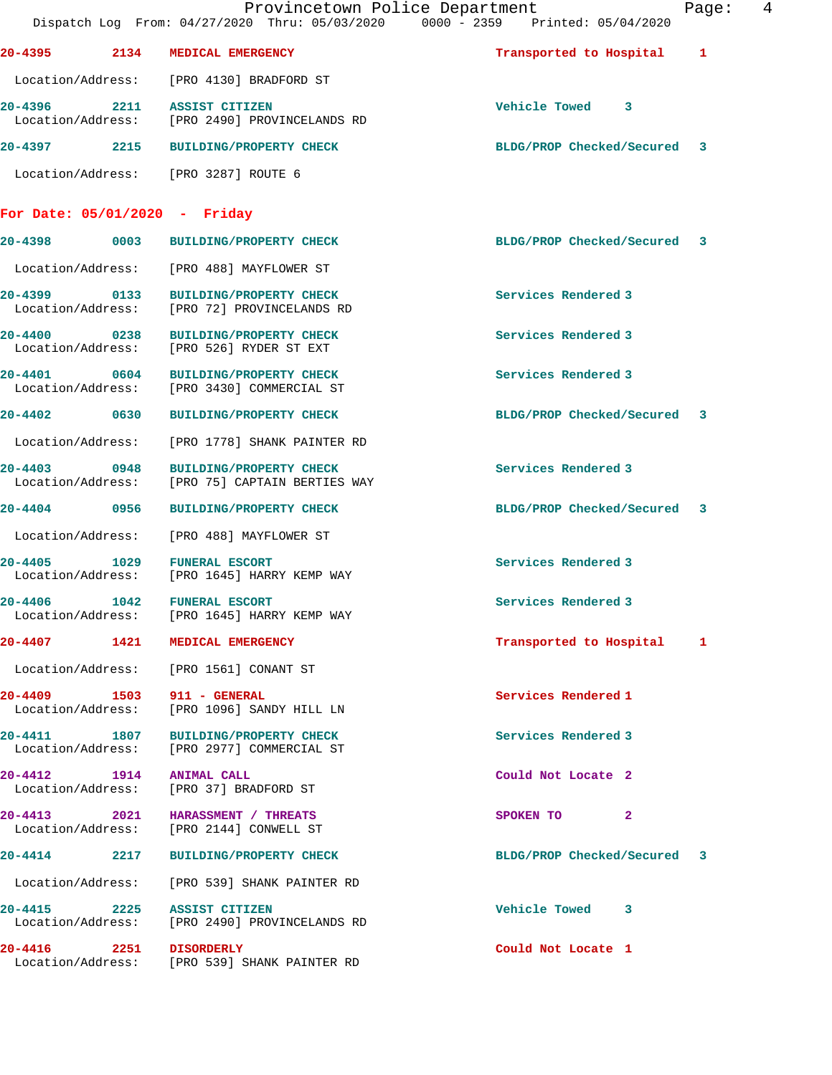|                                   |      | Provincetown Police Department<br>Dispatch Log From: 04/27/2020 Thru: 05/03/2020 0000 - 2359 Printed: 05/04/2020 |                             | Page: | - 4 |
|-----------------------------------|------|------------------------------------------------------------------------------------------------------------------|-----------------------------|-------|-----|
|                                   |      | 20-4395 2134 MEDICAL EMERGENCY                                                                                   | Transported to Hospital 1   |       |     |
|                                   |      | Location/Address: [PRO 4130] BRADFORD ST                                                                         |                             |       |     |
|                                   |      | 20-4396 2211 ASSIST CITIZEN<br>Location/Address: [PRO 2490] PROVINCELANDS RD                                     | Vehicle Towed 3             |       |     |
|                                   |      | 20-4397 2215 BUILDING/PROPERTY CHECK                                                                             | BLDG/PROP Checked/Secured 3 |       |     |
|                                   |      | Location/Address: [PRO 3287] ROUTE 6                                                                             |                             |       |     |
|                                   |      | For Date: $05/01/2020$ - Friday                                                                                  |                             |       |     |
|                                   |      | 20-4398 0003 BUILDING/PROPERTY CHECK                                                                             | BLDG/PROP Checked/Secured 3 |       |     |
|                                   |      | Location/Address: [PRO 488] MAYFLOWER ST                                                                         |                             |       |     |
|                                   |      | 20-4399 0133 BUILDING/PROPERTY CHECK<br>Location/Address: [PRO 72] PROVINCELANDS RD                              | Services Rendered 3         |       |     |
| 20-4400 0238<br>Location/Address: |      | BUILDING/PROPERTY CHECK<br>[PRO 526] RYDER ST EXT                                                                | Services Rendered 3         |       |     |
|                                   |      | 20-4401 0604 BUILDING/PROPERTY CHECK<br>Location/Address: [PRO 3430] COMMERCIAL ST                               | Services Rendered 3         |       |     |
| 20-4402                           |      | 0630 BUILDING/PROPERTY CHECK                                                                                     | BLDG/PROP Checked/Secured 3 |       |     |
| Location/Address:                 |      | [PRO 1778] SHANK PAINTER RD                                                                                      |                             |       |     |
| 20-4403<br>Location/Address:      | 0948 | <b>BUILDING/PROPERTY CHECK</b><br>[PRO 75] CAPTAIN BERTIES WAY                                                   | Services Rendered 3         |       |     |
| 20-4404 0956                      |      | <b>BUILDING/PROPERTY CHECK</b>                                                                                   | BLDG/PROP Checked/Secured 3 |       |     |
| Location/Address:                 |      | [PRO 488] MAYFLOWER ST                                                                                           |                             |       |     |
| 20-4405<br>Location/Address:      | 1029 | <b>FUNERAL ESCORT</b><br>[PRO 1645] HARRY KEMP WAY                                                               | Services Rendered 3         |       |     |
| 20-4406                           | 1042 | <b>FUNERAL ESCORT</b><br>Location/Address: [PRO 1645] HARRY KEMP WAY                                             | Services Rendered 3         |       |     |
|                                   |      | 20-4407 1421 MEDICAL EMERGENCY                                                                                   | Transported to Hospital 1   |       |     |
|                                   |      | Location/Address: [PRO 1561] CONANT ST                                                                           |                             |       |     |
|                                   |      | 20-4409 1503 911 - GENERAL<br>Location/Address: [PRO 1096] SANDY HILL LN                                         | Services Rendered 1         |       |     |
|                                   |      | 20-4411 1807 BUILDING/PROPERTY CHECK<br>Location/Address: [PRO 2977] COMMERCIAL ST                               | Services Rendered 3         |       |     |
|                                   |      | 20-4412 1914 ANIMAL CALL<br>Location/Address: [PRO 37] BRADFORD ST                                               | Could Not Locate 2          |       |     |
|                                   |      | 20-4413 2021 HARASSMENT / THREATS<br>Location/Address: [PRO 2144] CONWELL ST                                     | SPOKEN TO<br>$\mathbf{2}$   |       |     |
|                                   |      | 20-4414 2217 BUILDING/PROPERTY CHECK                                                                             | BLDG/PROP Checked/Secured 3 |       |     |
|                                   |      | Location/Address: [PRO 539] SHANK PAINTER RD                                                                     |                             |       |     |
|                                   |      | 20-4415 2225 ASSIST CITIZEN<br>Location/Address: [PRO 2490] PROVINCELANDS RD                                     | Vehicle Towed 3             |       |     |
|                                   |      | 20-4416 2251 DISORDERLY<br>Location/Address: [PRO 539] SHANK PAINTER RD                                          | Could Not Locate 1          |       |     |
|                                   |      |                                                                                                                  |                             |       |     |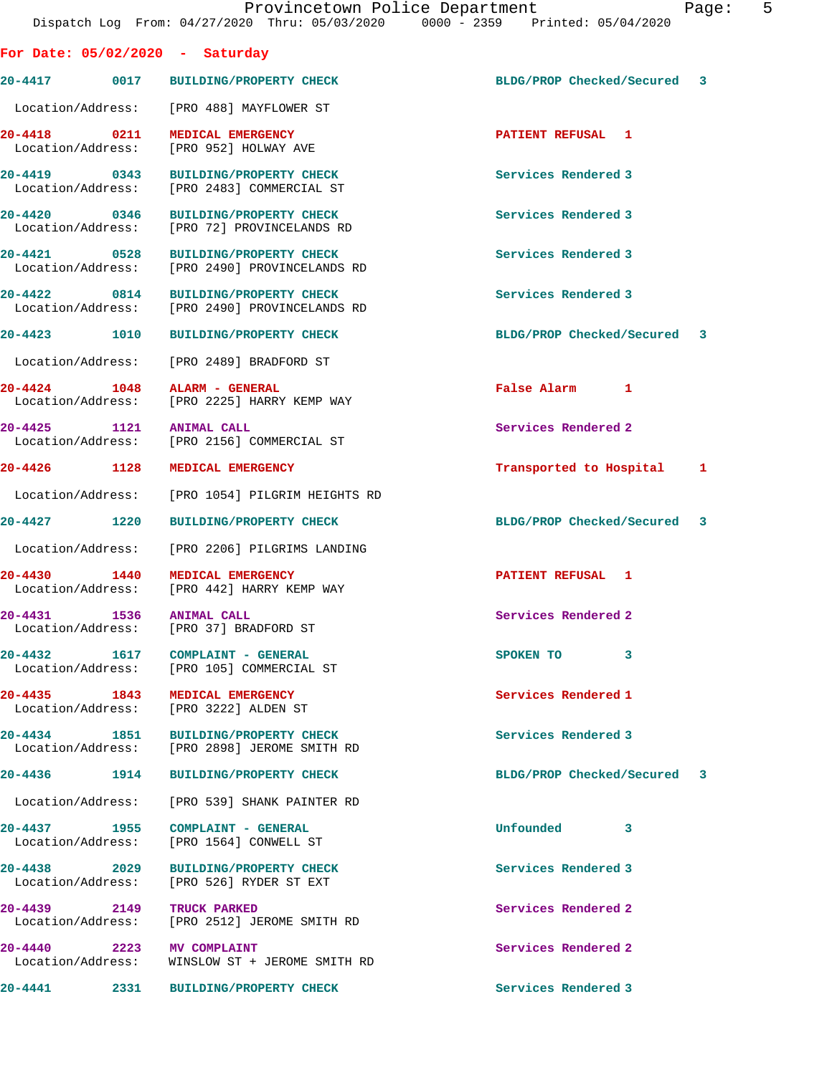| For Date: $05/02/2020$ - Saturday    |                                                                                       |                             |  |
|--------------------------------------|---------------------------------------------------------------------------------------|-----------------------------|--|
|                                      | 20-4417  0017 BUILDING/PROPERTY CHECK                                                 | BLDG/PROP Checked/Secured 3 |  |
|                                      | Location/Address: [PRO 488] MAYFLOWER ST                                              |                             |  |
| 20-4418 0211                         | MEDICAL EMERGENCY<br>Location/Address: [PRO 952] HOLWAY AVE                           | PATIENT REFUSAL 1           |  |
| 20-4419 0343                         | <b>BUILDING/PROPERTY CHECK</b><br>Location/Address: [PRO 2483] COMMERCIAL ST          | Services Rendered 3         |  |
| 20-4420 0346                         | BUILDING/PROPERTY CHECK<br>Location/Address: [PRO 72] PROVINCELANDS RD                | Services Rendered 3         |  |
|                                      | 20-4421 0528 BUILDING/PROPERTY CHECK<br>Location/Address: [PRO 2490] PROVINCELANDS RD | Services Rendered 3         |  |
| 20-4422 0814                         | <b>BUILDING/PROPERTY CHECK</b><br>Location/Address: [PRO 2490] PROVINCELANDS RD       | Services Rendered 3         |  |
| 20-4423 1010                         | <b>BUILDING/PROPERTY CHECK</b>                                                        | BLDG/PROP Checked/Secured 3 |  |
|                                      | Location/Address: [PRO 2489] BRADFORD ST                                              |                             |  |
| 20-4424 1048 ALARM - GENERAL         | Location/Address: [PRO 2225] HARRY KEMP WAY                                           | False Alarm 1               |  |
| 20-4425 1121                         | <b>ANIMAL CALL</b><br>Location/Address: [PRO 2156] COMMERCIAL ST                      | Services Rendered 2         |  |
| 20-4426 1128                         | MEDICAL EMERGENCY                                                                     | Transported to Hospital 1   |  |
|                                      | Location/Address: [PRO 1054] PILGRIM HEIGHTS RD                                       |                             |  |
| 20-4427 1220                         | <b>BUILDING/PROPERTY CHECK</b>                                                        | BLDG/PROP Checked/Secured 3 |  |
|                                      | Location/Address: [PRO 2206] PILGRIMS LANDING                                         |                             |  |
|                                      | 20-4430   1440   MEDICAL EMERGENCY<br>Location/Address: [PRO 442] HARRY KEMP WAY      | PATIENT REFUSAL 1           |  |
| 20-4431 1536 ANIMAL CALL             | Location/Address: [PRO 37] BRADFORD ST                                                | Services Rendered 2         |  |
| 20-4432<br>1617<br>Location/Address: | COMPLAINT - GENERAL<br>[PRO 105] COMMERCIAL ST                                        | 3<br>SPOKEN TO              |  |
| 20-4435 1843                         | MEDICAL EMERGENCY<br>Location/Address: [PRO 3222] ALDEN ST                            | Services Rendered 1         |  |
| 20-4434 1851<br>Location/Address:    | <b>BUILDING/PROPERTY CHECK</b><br>[PRO 2898] JEROME SMITH RD                          | Services Rendered 3         |  |
| 20-4436<br>1914                      | <b>BUILDING/PROPERTY CHECK</b>                                                        | BLDG/PROP Checked/Secured 3 |  |
|                                      | Location/Address: [PRO 539] SHANK PAINTER RD                                          |                             |  |
| 20–4437 1955<br>Location/Address:    | COMPLAINT - GENERAL<br>[PRO 1564] CONWELL ST                                          | Unfounded<br>3              |  |
| 20-4438 2029                         | <b>BUILDING/PROPERTY CHECK</b><br>Location/Address: [PRO 526] RYDER ST EXT            | Services Rendered 3         |  |
| 20-4439 2149<br>Location/Address:    | TRUCK PARKED<br>[PRO 2512] JEROME SMITH RD                                            | Services Rendered 2         |  |
| 20–4440 2223<br>Location/Address:    | MV COMPLAINT<br>WINSLOW ST + JEROME SMITH RD                                          | Services Rendered 2         |  |
| 20-4441<br>2331                      | <b>BUILDING/PROPERTY CHECK</b>                                                        | Services Rendered 3         |  |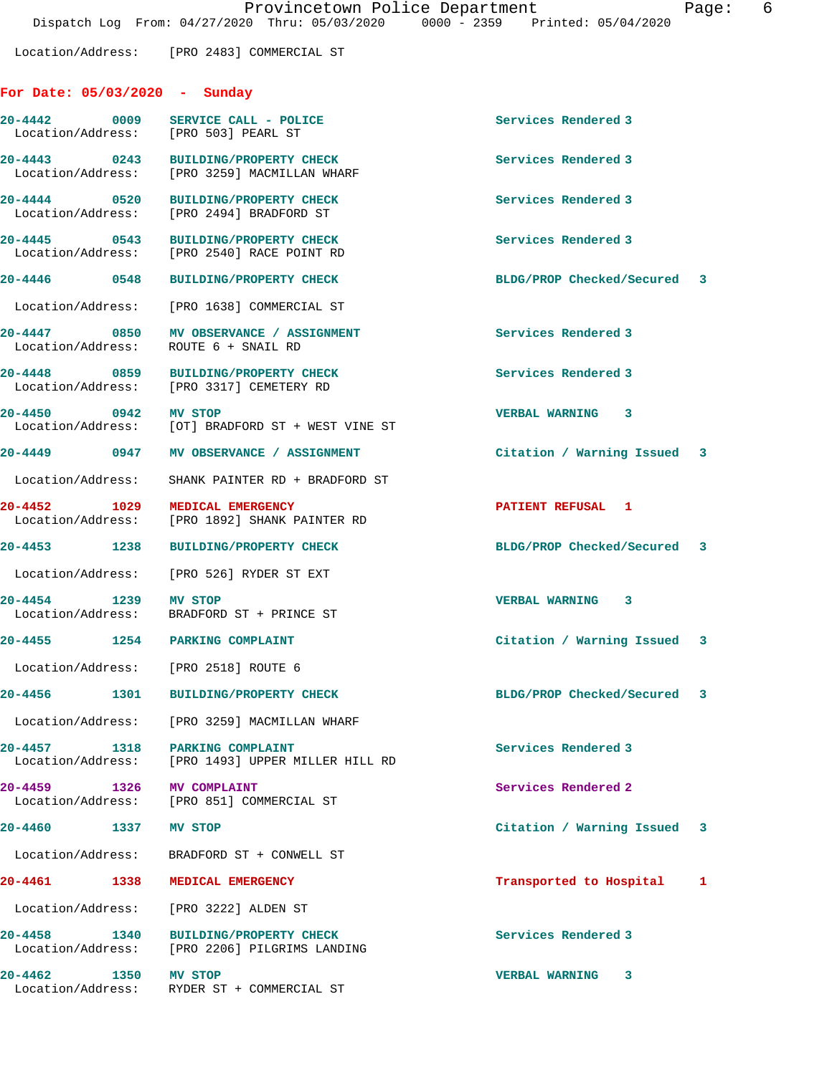Location/Address: [PRO 2483] COMMERCIAL ST

## **For Date: 05/03/2020 - Sunday**

|                           | 20-4442 0009 SERVICE CALL - POLICE<br>Location/Address: [PRO 503] PEARL ST           | Services Rendered 3         |   |
|---------------------------|--------------------------------------------------------------------------------------|-----------------------------|---|
|                           | 20-4443 0243 BUILDING/PROPERTY CHECK<br>Location/Address: [PRO 3259] MACMILLAN WHARF | Services Rendered 3         |   |
|                           | 20-4444 0520 BUILDING/PROPERTY CHECK<br>Location/Address: [PRO 2494] BRADFORD ST     | Services Rendered 3         |   |
|                           | 20-4445 0543 BUILDING/PROPERTY CHECK<br>Location/Address: [PRO 2540] RACE POINT RD   | Services Rendered 3         |   |
|                           | 20-4446 0548 BUILDING/PROPERTY CHECK                                                 | BLDG/PROP Checked/Secured 3 |   |
|                           | Location/Address: [PRO 1638] COMMERCIAL ST                                           |                             |   |
|                           | 20-4447 0850 MV OBSERVANCE / ASSIGNMENT<br>Location/Address: ROUTE 6 + SNAIL RD      | Services Rendered 3         |   |
|                           | 20-4448 0859 BUILDING/PROPERTY CHECK<br>Location/Address: [PRO 3317] CEMETERY RD     | Services Rendered 3         |   |
| 20-4450 0942 MV STOP      | Location/Address: [OT] BRADFORD ST + WEST VINE ST                                    | <b>VERBAL WARNING 3</b>     |   |
|                           | 20-4449 0947 MV OBSERVANCE / ASSIGNMENT                                              | Citation / Warning Issued 3 |   |
|                           | Location/Address: SHANK PAINTER RD + BRADFORD ST                                     |                             |   |
| 20-4452 1029              | MEDICAL EMERGENCY<br>Location/Address: [PRO 1892] SHANK PAINTER RD                   | <b>PATIENT REFUSAL 1</b>    |   |
|                           | 20-4453 1238 BUILDING/PROPERTY CHECK                                                 | BLDG/PROP Checked/Secured 3 |   |
|                           | Location/Address: [PRO 526] RYDER ST EXT                                             |                             |   |
| 20-4454 1239 MV STOP      | Location/Address: BRADFORD ST + PRINCE ST                                            | <b>VERBAL WARNING 3</b>     |   |
|                           | 20-4455 1254 PARKING COMPLAINT                                                       | Citation / Warning Issued 3 |   |
|                           | Location/Address: [PRO 2518] ROUTE 6                                                 |                             |   |
|                           | 20-4456 1301 BUILDING/PROPERTY CHECK                                                 | BLDG/PROP Checked/Secured 3 |   |
|                           | Location/Address: [PRO 3259] MACMILLAN WHARF                                         |                             |   |
| $20 - 4457$<br>1318       | PARKING COMPLAINT<br>Location/Address: [PRO 1493] UPPER MILLER HILL RD               | Services Rendered 3         |   |
| 20-4459 1326 MV COMPLAINT | Location/Address: [PRO 851] COMMERCIAL ST                                            | Services Rendered 2         |   |
| $20 - 4460$               | 1337 MV STOP                                                                         | Citation / Warning Issued 3 |   |
|                           | Location/Address: BRADFORD ST + CONWELL ST                                           |                             |   |
| 20-4461<br>1338           | MEDICAL EMERGENCY                                                                    | Transported to Hospital     | 1 |
|                           | Location/Address: [PRO 3222] ALDEN ST                                                |                             |   |
| 20-4458 1340              | BUILDING/PROPERTY CHECK<br>Location/Address: [PRO 2206] PILGRIMS LANDING             | Services Rendered 3         |   |
| 20-4462                   | 1350 MV STOP<br>Location/Address: RYDER ST + COMMERCIAL ST                           | VERBAL WARNING 3            |   |
|                           |                                                                                      |                             |   |